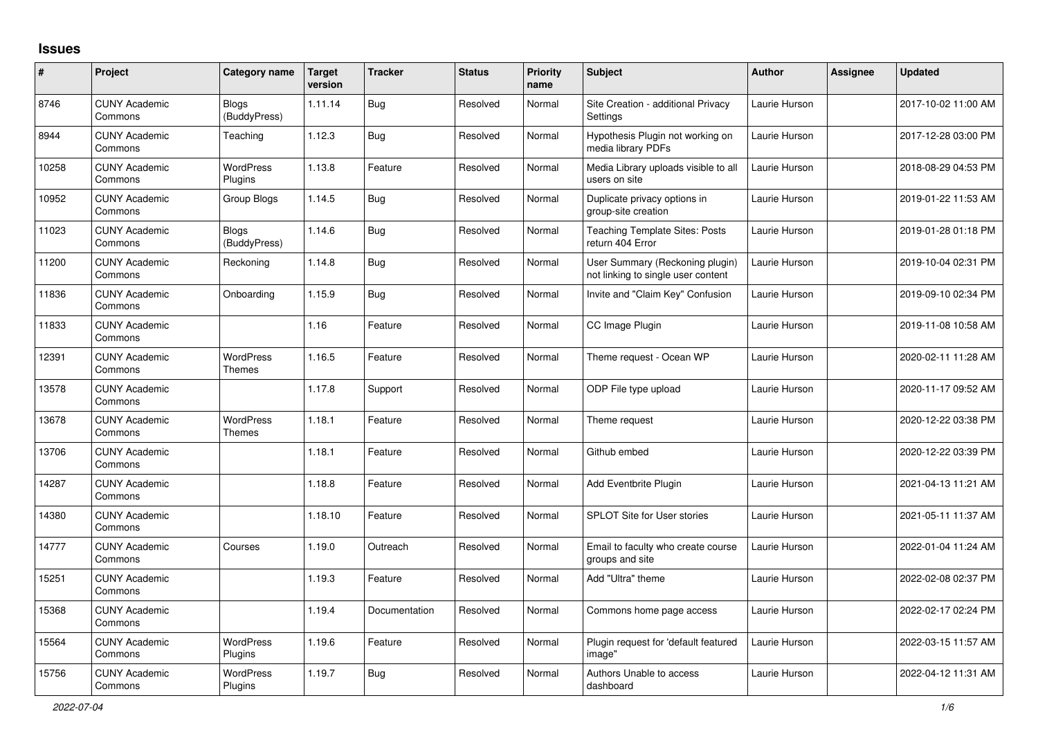## **Issues**

| $\pmb{\#}$ | Project                         | Category name                | <b>Target</b><br>version | <b>Tracker</b> | <b>Status</b> | <b>Priority</b><br>name | <b>Subject</b>                                                        | <b>Author</b> | <b>Assignee</b> | <b>Updated</b>      |
|------------|---------------------------------|------------------------------|--------------------------|----------------|---------------|-------------------------|-----------------------------------------------------------------------|---------------|-----------------|---------------------|
| 8746       | <b>CUNY Academic</b><br>Commons | <b>Blogs</b><br>(BuddyPress) | 1.11.14                  | Bug            | Resolved      | Normal                  | Site Creation - additional Privacy<br>Settings                        | Laurie Hurson |                 | 2017-10-02 11:00 AM |
| 8944       | <b>CUNY Academic</b><br>Commons | Teaching                     | 1.12.3                   | <b>Bug</b>     | Resolved      | Normal                  | Hypothesis Plugin not working on<br>media library PDFs                | Laurie Hurson |                 | 2017-12-28 03:00 PM |
| 10258      | <b>CUNY Academic</b><br>Commons | <b>WordPress</b><br>Plugins  | 1.13.8                   | Feature        | Resolved      | Normal                  | Media Library uploads visible to all<br>users on site                 | Laurie Hurson |                 | 2018-08-29 04:53 PM |
| 10952      | <b>CUNY Academic</b><br>Commons | Group Blogs                  | 1.14.5                   | Bug            | Resolved      | Normal                  | Duplicate privacy options in<br>group-site creation                   | Laurie Hurson |                 | 2019-01-22 11:53 AM |
| 11023      | <b>CUNY Academic</b><br>Commons | <b>Blogs</b><br>(BuddyPress) | 1.14.6                   | <b>Bug</b>     | Resolved      | Normal                  | <b>Teaching Template Sites: Posts</b><br>return 404 Error             | Laurie Hurson |                 | 2019-01-28 01:18 PM |
| 11200      | <b>CUNY Academic</b><br>Commons | Reckoning                    | 1.14.8                   | <b>Bug</b>     | Resolved      | Normal                  | User Summary (Reckoning plugin)<br>not linking to single user content | Laurie Hurson |                 | 2019-10-04 02:31 PM |
| 11836      | <b>CUNY Academic</b><br>Commons | Onboarding                   | 1.15.9                   | <b>Bug</b>     | Resolved      | Normal                  | Invite and "Claim Key" Confusion                                      | Laurie Hurson |                 | 2019-09-10 02:34 PM |
| 11833      | <b>CUNY Academic</b><br>Commons |                              | 1.16                     | Feature        | Resolved      | Normal                  | CC Image Plugin                                                       | Laurie Hurson |                 | 2019-11-08 10:58 AM |
| 12391      | <b>CUNY Academic</b><br>Commons | WordPress<br>Themes          | 1.16.5                   | Feature        | Resolved      | Normal                  | Theme request - Ocean WP                                              | Laurie Hurson |                 | 2020-02-11 11:28 AM |
| 13578      | <b>CUNY Academic</b><br>Commons |                              | 1.17.8                   | Support        | Resolved      | Normal                  | ODP File type upload                                                  | Laurie Hurson |                 | 2020-11-17 09:52 AM |
| 13678      | <b>CUNY Academic</b><br>Commons | <b>WordPress</b><br>Themes   | 1.18.1                   | Feature        | Resolved      | Normal                  | Theme request                                                         | Laurie Hurson |                 | 2020-12-22 03:38 PM |
| 13706      | <b>CUNY Academic</b><br>Commons |                              | 1.18.1                   | Feature        | Resolved      | Normal                  | Github embed                                                          | Laurie Hurson |                 | 2020-12-22 03:39 PM |
| 14287      | <b>CUNY Academic</b><br>Commons |                              | 1.18.8                   | Feature        | Resolved      | Normal                  | Add Eventbrite Plugin                                                 | Laurie Hurson |                 | 2021-04-13 11:21 AM |
| 14380      | <b>CUNY Academic</b><br>Commons |                              | 1.18.10                  | Feature        | Resolved      | Normal                  | <b>SPLOT Site for User stories</b>                                    | Laurie Hurson |                 | 2021-05-11 11:37 AM |
| 14777      | <b>CUNY Academic</b><br>Commons | Courses                      | 1.19.0                   | Outreach       | Resolved      | Normal                  | Email to faculty who create course<br>groups and site                 | Laurie Hurson |                 | 2022-01-04 11:24 AM |
| 15251      | <b>CUNY Academic</b><br>Commons |                              | 1.19.3                   | Feature        | Resolved      | Normal                  | Add "Ultra" theme                                                     | Laurie Hurson |                 | 2022-02-08 02:37 PM |
| 15368      | <b>CUNY Academic</b><br>Commons |                              | 1.19.4                   | Documentation  | Resolved      | Normal                  | Commons home page access                                              | Laurie Hurson |                 | 2022-02-17 02:24 PM |
| 15564      | <b>CUNY Academic</b><br>Commons | <b>WordPress</b><br>Plugins  | 1.19.6                   | Feature        | Resolved      | Normal                  | Plugin request for 'default featured<br>image"                        | Laurie Hurson |                 | 2022-03-15 11:57 AM |
| 15756      | <b>CUNY Academic</b><br>Commons | <b>WordPress</b><br>Plugins  | 1.19.7                   | <b>Bug</b>     | Resolved      | Normal                  | Authors Unable to access<br>dashboard                                 | Laurie Hurson |                 | 2022-04-12 11:31 AM |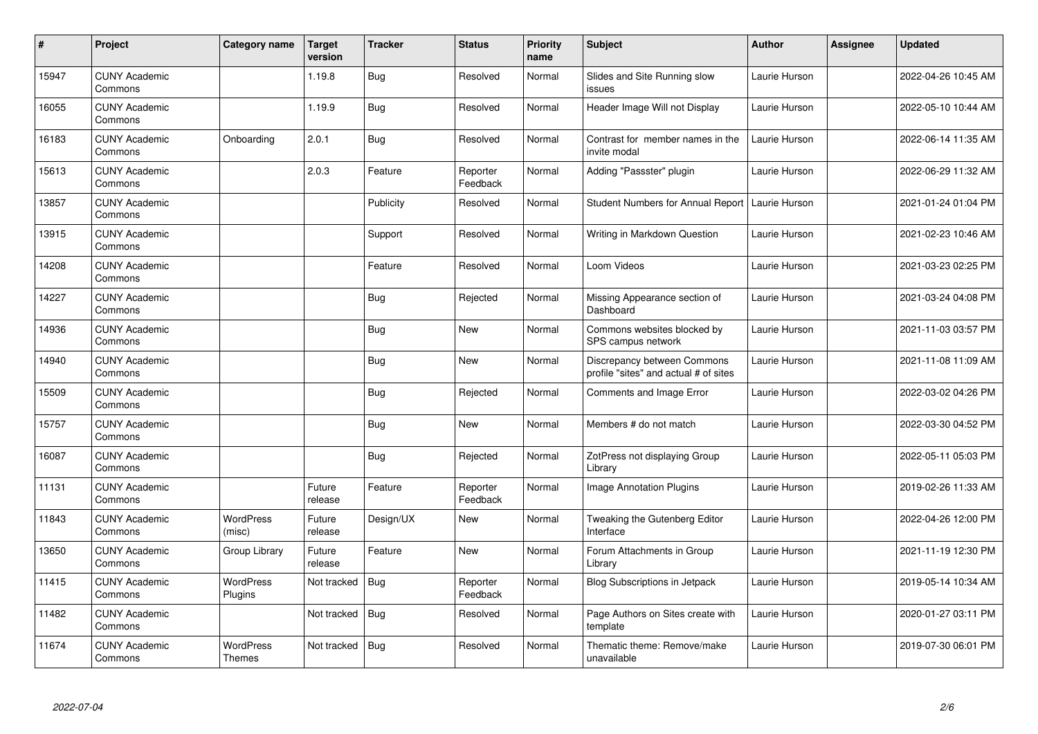| #     | Project                         | Category name               | <b>Target</b><br>version | <b>Tracker</b> | <b>Status</b>        | <b>Priority</b><br>name | <b>Subject</b>                                                       | <b>Author</b> | <b>Assignee</b> | <b>Updated</b>      |
|-------|---------------------------------|-----------------------------|--------------------------|----------------|----------------------|-------------------------|----------------------------------------------------------------------|---------------|-----------------|---------------------|
| 15947 | <b>CUNY Academic</b><br>Commons |                             | 1.19.8                   | <b>Bug</b>     | Resolved             | Normal                  | Slides and Site Running slow<br>issues                               | Laurie Hurson |                 | 2022-04-26 10:45 AM |
| 16055 | <b>CUNY Academic</b><br>Commons |                             | 1.19.9                   | <b>Bug</b>     | Resolved             | Normal                  | Header Image Will not Display                                        | Laurie Hurson |                 | 2022-05-10 10:44 AM |
| 16183 | <b>CUNY Academic</b><br>Commons | Onboarding                  | 2.0.1                    | <b>Bug</b>     | Resolved             | Normal                  | Contrast for member names in the<br>invite modal                     | Laurie Hurson |                 | 2022-06-14 11:35 AM |
| 15613 | <b>CUNY Academic</b><br>Commons |                             | 2.0.3                    | Feature        | Reporter<br>Feedback | Normal                  | Adding "Passster" plugin                                             | Laurie Hurson |                 | 2022-06-29 11:32 AM |
| 13857 | <b>CUNY Academic</b><br>Commons |                             |                          | Publicity      | Resolved             | Normal                  | Student Numbers for Annual Report                                    | Laurie Hurson |                 | 2021-01-24 01:04 PM |
| 13915 | <b>CUNY Academic</b><br>Commons |                             |                          | Support        | Resolved             | Normal                  | Writing in Markdown Question                                         | Laurie Hurson |                 | 2021-02-23 10:46 AM |
| 14208 | <b>CUNY Academic</b><br>Commons |                             |                          | Feature        | Resolved             | Normal                  | Loom Videos                                                          | Laurie Hurson |                 | 2021-03-23 02:25 PM |
| 14227 | <b>CUNY Academic</b><br>Commons |                             |                          | Bug            | Rejected             | Normal                  | Missing Appearance section of<br>Dashboard                           | Laurie Hurson |                 | 2021-03-24 04:08 PM |
| 14936 | <b>CUNY Academic</b><br>Commons |                             |                          | <b>Bug</b>     | New                  | Normal                  | Commons websites blocked by<br>SPS campus network                    | Laurie Hurson |                 | 2021-11-03 03:57 PM |
| 14940 | <b>CUNY Academic</b><br>Commons |                             |                          | <b>Bug</b>     | New                  | Normal                  | Discrepancy between Commons<br>profile "sites" and actual # of sites | Laurie Hurson |                 | 2021-11-08 11:09 AM |
| 15509 | <b>CUNY Academic</b><br>Commons |                             |                          | <b>Bug</b>     | Rejected             | Normal                  | Comments and Image Error                                             | Laurie Hurson |                 | 2022-03-02 04:26 PM |
| 15757 | <b>CUNY Academic</b><br>Commons |                             |                          | <b>Bug</b>     | New                  | Normal                  | Members # do not match                                               | Laurie Hurson |                 | 2022-03-30 04:52 PM |
| 16087 | <b>CUNY Academic</b><br>Commons |                             |                          | <b>Bug</b>     | Rejected             | Normal                  | ZotPress not displaying Group<br>Librarv                             | Laurie Hurson |                 | 2022-05-11 05:03 PM |
| 11131 | <b>CUNY Academic</b><br>Commons |                             | Future<br>release        | Feature        | Reporter<br>Feedback | Normal                  | Image Annotation Plugins                                             | Laurie Hurson |                 | 2019-02-26 11:33 AM |
| 11843 | <b>CUNY Academic</b><br>Commons | <b>WordPress</b><br>(misc)  | Future<br>release        | Design/UX      | New                  | Normal                  | Tweaking the Gutenberg Editor<br>Interface                           | Laurie Hurson |                 | 2022-04-26 12:00 PM |
| 13650 | <b>CUNY Academic</b><br>Commons | Group Library               | Future<br>release        | Feature        | New                  | Normal                  | Forum Attachments in Group<br>Librarv                                | Laurie Hurson |                 | 2021-11-19 12:30 PM |
| 11415 | <b>CUNY Academic</b><br>Commons | <b>WordPress</b><br>Plugins | Not tracked              | <b>Bug</b>     | Reporter<br>Feedback | Normal                  | <b>Blog Subscriptions in Jetpack</b>                                 | Laurie Hurson |                 | 2019-05-14 10:34 AM |
| 11482 | <b>CUNY Academic</b><br>Commons |                             | Not tracked              | <b>Bug</b>     | Resolved             | Normal                  | Page Authors on Sites create with<br>template                        | Laurie Hurson |                 | 2020-01-27 03:11 PM |
| 11674 | <b>CUNY Academic</b><br>Commons | <b>WordPress</b><br>Themes  | Not tracked              | <b>Bug</b>     | Resolved             | Normal                  | Thematic theme: Remove/make<br>unavailable                           | Laurie Hurson |                 | 2019-07-30 06:01 PM |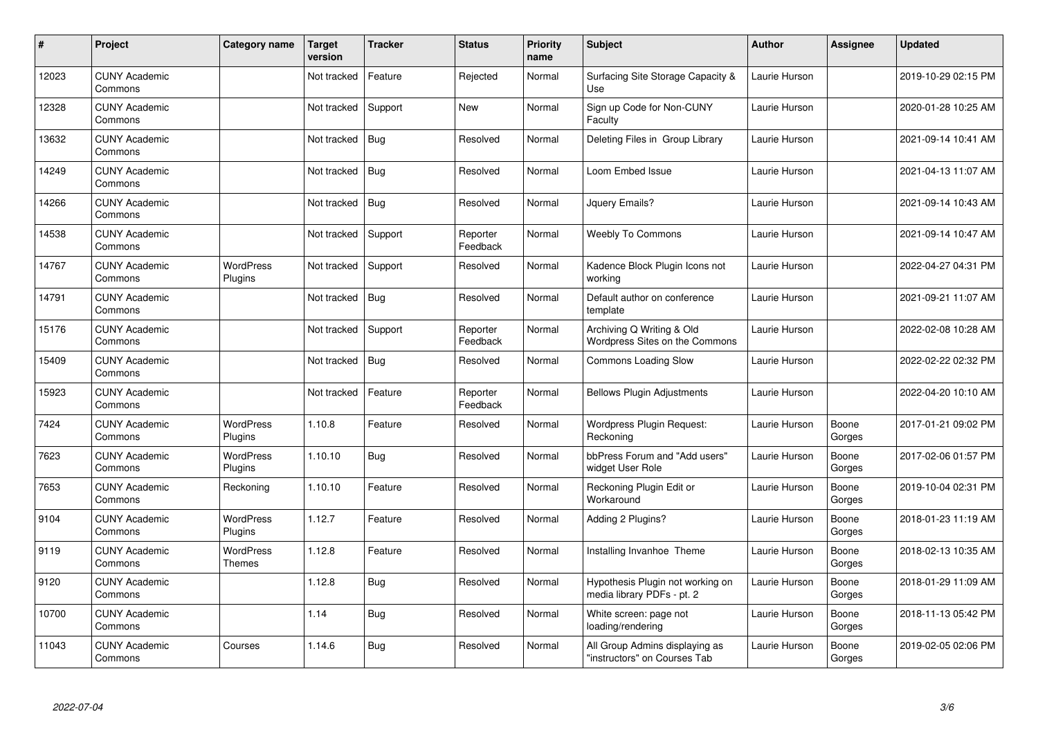| #     | Project                         | Category name               | <b>Target</b><br>version | <b>Tracker</b> | <b>Status</b>        | <b>Priority</b><br>name | <b>Subject</b>                                                 | <b>Author</b> | <b>Assignee</b> | <b>Updated</b>      |
|-------|---------------------------------|-----------------------------|--------------------------|----------------|----------------------|-------------------------|----------------------------------------------------------------|---------------|-----------------|---------------------|
| 12023 | <b>CUNY Academic</b><br>Commons |                             | Not tracked              | Feature        | Rejected             | Normal                  | Surfacing Site Storage Capacity &<br>Use                       | Laurie Hurson |                 | 2019-10-29 02:15 PM |
| 12328 | <b>CUNY Academic</b><br>Commons |                             | Not tracked              | Support        | New                  | Normal                  | Sign up Code for Non-CUNY<br>Faculty                           | Laurie Hurson |                 | 2020-01-28 10:25 AM |
| 13632 | <b>CUNY Academic</b><br>Commons |                             | Not tracked              | <b>Bug</b>     | Resolved             | Normal                  | Deleting Files in Group Library                                | Laurie Hurson |                 | 2021-09-14 10:41 AM |
| 14249 | <b>CUNY Academic</b><br>Commons |                             | Not tracked              | <b>Bug</b>     | Resolved             | Normal                  | Loom Embed Issue                                               | Laurie Hurson |                 | 2021-04-13 11:07 AM |
| 14266 | <b>CUNY Academic</b><br>Commons |                             | Not tracked              | Bug            | Resolved             | Normal                  | Jquery Emails?                                                 | Laurie Hurson |                 | 2021-09-14 10:43 AM |
| 14538 | <b>CUNY Academic</b><br>Commons |                             | Not tracked              | Support        | Reporter<br>Feedback | Normal                  | <b>Weebly To Commons</b>                                       | Laurie Hurson |                 | 2021-09-14 10:47 AM |
| 14767 | <b>CUNY Academic</b><br>Commons | WordPress<br>Plugins        | Not tracked              | Support        | Resolved             | Normal                  | Kadence Block Plugin Icons not<br>working                      | Laurie Hurson |                 | 2022-04-27 04:31 PM |
| 14791 | <b>CUNY Academic</b><br>Commons |                             | Not tracked              | Bug            | Resolved             | Normal                  | Default author on conference<br>template                       | Laurie Hurson |                 | 2021-09-21 11:07 AM |
| 15176 | <b>CUNY Academic</b><br>Commons |                             | Not tracked              | Support        | Reporter<br>Feedback | Normal                  | Archiving Q Writing & Old<br>Wordpress Sites on the Commons    | Laurie Hurson |                 | 2022-02-08 10:28 AM |
| 15409 | <b>CUNY Academic</b><br>Commons |                             | Not tracked              | <b>Bug</b>     | Resolved             | Normal                  | <b>Commons Loading Slow</b>                                    | Laurie Hurson |                 | 2022-02-22 02:32 PM |
| 15923 | <b>CUNY Academic</b><br>Commons |                             | Not tracked              | Feature        | Reporter<br>Feedback | Normal                  | <b>Bellows Plugin Adjustments</b>                              | Laurie Hurson |                 | 2022-04-20 10:10 AM |
| 7424  | <b>CUNY Academic</b><br>Commons | <b>WordPress</b><br>Plugins | 1.10.8                   | Feature        | Resolved             | Normal                  | <b>Wordpress Plugin Request:</b><br>Reckoning                  | Laurie Hurson | Boone<br>Gorges | 2017-01-21 09:02 PM |
| 7623  | <b>CUNY Academic</b><br>Commons | <b>WordPress</b><br>Plugins | 1.10.10                  | Bug            | Resolved             | Normal                  | bbPress Forum and "Add users"<br>widget User Role              | Laurie Hurson | Boone<br>Gorges | 2017-02-06 01:57 PM |
| 7653  | <b>CUNY Academic</b><br>Commons | Reckoning                   | 1.10.10                  | Feature        | Resolved             | Normal                  | Reckoning Plugin Edit or<br>Workaround                         | Laurie Hurson | Boone<br>Gorges | 2019-10-04 02:31 PM |
| 9104  | <b>CUNY Academic</b><br>Commons | <b>WordPress</b><br>Plugins | 1.12.7                   | Feature        | Resolved             | Normal                  | Adding 2 Plugins?                                              | Laurie Hurson | Boone<br>Gorges | 2018-01-23 11:19 AM |
| 9119  | <b>CUNY Academic</b><br>Commons | <b>WordPress</b><br>Themes  | 1.12.8                   | Feature        | Resolved             | Normal                  | Installing Invanhoe Theme                                      | Laurie Hurson | Boone<br>Gorges | 2018-02-13 10:35 AM |
| 9120  | <b>CUNY Academic</b><br>Commons |                             | 1.12.8                   | <b>Bug</b>     | Resolved             | Normal                  | Hypothesis Plugin not working on<br>media library PDFs - pt. 2 | Laurie Hurson | Boone<br>Gorges | 2018-01-29 11:09 AM |
| 10700 | <b>CUNY Academic</b><br>Commons |                             | 1.14                     | <b>Bug</b>     | Resolved             | Normal                  | White screen: page not<br>loading/rendering                    | Laurie Hurson | Boone<br>Gorges | 2018-11-13 05:42 PM |
| 11043 | <b>CUNY Academic</b><br>Commons | Courses                     | 1.14.6                   | <b>Bug</b>     | Resolved             | Normal                  | All Group Admins displaying as<br>"instructors" on Courses Tab | Laurie Hurson | Boone<br>Gorges | 2019-02-05 02:06 PM |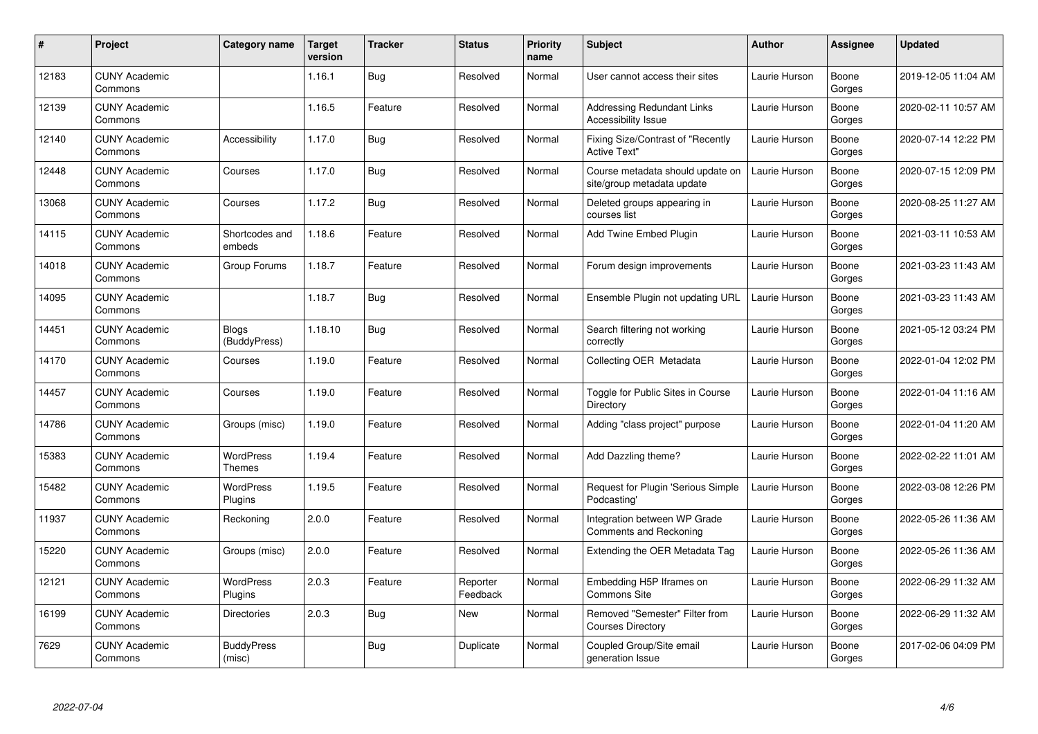| $\pmb{\#}$ | Project                         | Category name                | <b>Target</b><br>version | <b>Tracker</b> | <b>Status</b>        | <b>Priority</b><br>name | <b>Subject</b>                                                 | <b>Author</b> | <b>Assignee</b> | <b>Updated</b>      |
|------------|---------------------------------|------------------------------|--------------------------|----------------|----------------------|-------------------------|----------------------------------------------------------------|---------------|-----------------|---------------------|
| 12183      | <b>CUNY Academic</b><br>Commons |                              | 1.16.1                   | Bug            | Resolved             | Normal                  | User cannot access their sites                                 | Laurie Hurson | Boone<br>Gorges | 2019-12-05 11:04 AM |
| 12139      | <b>CUNY Academic</b><br>Commons |                              | 1.16.5                   | Feature        | Resolved             | Normal                  | <b>Addressing Redundant Links</b><br>Accessibility Issue       | Laurie Hurson | Boone<br>Gorges | 2020-02-11 10:57 AM |
| 12140      | <b>CUNY Academic</b><br>Commons | Accessibility                | 1.17.0                   | <b>Bug</b>     | Resolved             | Normal                  | Fixing Size/Contrast of "Recently<br><b>Active Text"</b>       | Laurie Hurson | Boone<br>Gorges | 2020-07-14 12:22 PM |
| 12448      | <b>CUNY Academic</b><br>Commons | Courses                      | 1.17.0                   | Bug            | Resolved             | Normal                  | Course metadata should update on<br>site/group metadata update | Laurie Hurson | Boone<br>Gorges | 2020-07-15 12:09 PM |
| 13068      | <b>CUNY Academic</b><br>Commons | Courses                      | 1.17.2                   | <b>Bug</b>     | Resolved             | Normal                  | Deleted groups appearing in<br>courses list                    | Laurie Hurson | Boone<br>Gorges | 2020-08-25 11:27 AM |
| 14115      | <b>CUNY Academic</b><br>Commons | Shortcodes and<br>embeds     | 1.18.6                   | Feature        | Resolved             | Normal                  | Add Twine Embed Plugin                                         | Laurie Hurson | Boone<br>Gorges | 2021-03-11 10:53 AM |
| 14018      | <b>CUNY Academic</b><br>Commons | Group Forums                 | 1.18.7                   | Feature        | Resolved             | Normal                  | Forum design improvements                                      | Laurie Hurson | Boone<br>Gorges | 2021-03-23 11:43 AM |
| 14095      | <b>CUNY Academic</b><br>Commons |                              | 1.18.7                   | <b>Bug</b>     | Resolved             | Normal                  | Ensemble Plugin not updating URL                               | Laurie Hurson | Boone<br>Gorges | 2021-03-23 11:43 AM |
| 14451      | <b>CUNY Academic</b><br>Commons | <b>Blogs</b><br>(BuddyPress) | 1.18.10                  | Bug            | Resolved             | Normal                  | Search filtering not working<br>correctly                      | Laurie Hurson | Boone<br>Gorges | 2021-05-12 03:24 PM |
| 14170      | <b>CUNY Academic</b><br>Commons | Courses                      | 1.19.0                   | Feature        | Resolved             | Normal                  | Collecting OER Metadata                                        | Laurie Hurson | Boone<br>Gorges | 2022-01-04 12:02 PM |
| 14457      | <b>CUNY Academic</b><br>Commons | Courses                      | 1.19.0                   | Feature        | Resolved             | Normal                  | Toggle for Public Sites in Course<br>Directory                 | Laurie Hurson | Boone<br>Gorges | 2022-01-04 11:16 AM |
| 14786      | <b>CUNY Academic</b><br>Commons | Groups (misc)                | 1.19.0                   | Feature        | Resolved             | Normal                  | Adding "class project" purpose                                 | Laurie Hurson | Boone<br>Gorges | 2022-01-04 11:20 AM |
| 15383      | <b>CUNY Academic</b><br>Commons | WordPress<br>Themes          | 1.19.4                   | Feature        | Resolved             | Normal                  | Add Dazzling theme?                                            | Laurie Hurson | Boone<br>Gorges | 2022-02-22 11:01 AM |
| 15482      | <b>CUNY Academic</b><br>Commons | <b>WordPress</b><br>Plugins  | 1.19.5                   | Feature        | Resolved             | Normal                  | Request for Plugin 'Serious Simple<br>Podcasting'              | Laurie Hurson | Boone<br>Gorges | 2022-03-08 12:26 PM |
| 11937      | <b>CUNY Academic</b><br>Commons | Reckoning                    | 2.0.0                    | Feature        | Resolved             | Normal                  | Integration between WP Grade<br>Comments and Reckoning         | Laurie Hurson | Boone<br>Gorges | 2022-05-26 11:36 AM |
| 15220      | <b>CUNY Academic</b><br>Commons | Groups (misc)                | 2.0.0                    | Feature        | Resolved             | Normal                  | Extending the OER Metadata Tag                                 | Laurie Hurson | Boone<br>Gorges | 2022-05-26 11:36 AM |
| 12121      | <b>CUNY Academic</b><br>Commons | <b>WordPress</b><br>Plugins  | 2.0.3                    | Feature        | Reporter<br>Feedback | Normal                  | Embedding H5P Iframes on<br><b>Commons Site</b>                | Laurie Hurson | Boone<br>Gorges | 2022-06-29 11:32 AM |
| 16199      | <b>CUNY Academic</b><br>Commons | <b>Directories</b>           | 2.0.3                    | Bug            | <b>New</b>           | Normal                  | Removed "Semester" Filter from<br><b>Courses Directory</b>     | Laurie Hurson | Boone<br>Gorges | 2022-06-29 11:32 AM |
| 7629       | <b>CUNY Academic</b><br>Commons | <b>BuddyPress</b><br>(misc)  |                          | <b>Bug</b>     | Duplicate            | Normal                  | Coupled Group/Site email<br>generation Issue                   | Laurie Hurson | Boone<br>Gorges | 2017-02-06 04:09 PM |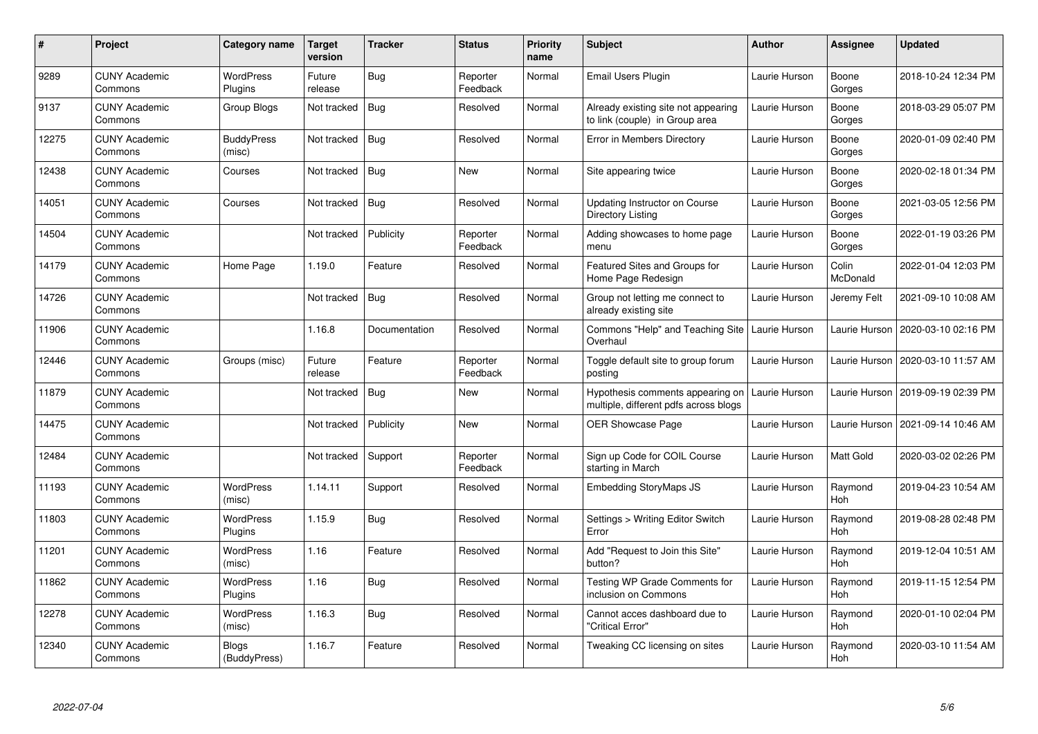| #     | Project                         | Category name                | Target<br>version | <b>Tracker</b> | <b>Status</b>        | <b>Priority</b><br>name | <b>Subject</b>                                                            | <b>Author</b> | <b>Assignee</b>       | <b>Updated</b>      |
|-------|---------------------------------|------------------------------|-------------------|----------------|----------------------|-------------------------|---------------------------------------------------------------------------|---------------|-----------------------|---------------------|
| 9289  | <b>CUNY Academic</b><br>Commons | <b>WordPress</b><br>Plugins  | Future<br>release | <b>Bug</b>     | Reporter<br>Feedback | Normal                  | Email Users Plugin                                                        | Laurie Hurson | Boone<br>Gorges       | 2018-10-24 12:34 PM |
| 9137  | <b>CUNY Academic</b><br>Commons | Group Blogs                  | Not tracked       | Bug            | Resolved             | Normal                  | Already existing site not appearing<br>to link (couple) in Group area     | Laurie Hurson | Boone<br>Gorges       | 2018-03-29 05:07 PM |
| 12275 | <b>CUNY Academic</b><br>Commons | <b>BuddyPress</b><br>(misc)  | Not tracked       | <b>Bug</b>     | Resolved             | Normal                  | Error in Members Directory                                                | Laurie Hurson | Boone<br>Gorges       | 2020-01-09 02:40 PM |
| 12438 | <b>CUNY Academic</b><br>Commons | Courses                      | Not tracked       | Bug            | New                  | Normal                  | Site appearing twice                                                      | Laurie Hurson | Boone<br>Gorges       | 2020-02-18 01:34 PM |
| 14051 | <b>CUNY Academic</b><br>Commons | Courses                      | Not tracked       | <b>Bug</b>     | Resolved             | Normal                  | Updating Instructor on Course<br>Directory Listing                        | Laurie Hurson | Boone<br>Gorges       | 2021-03-05 12:56 PM |
| 14504 | <b>CUNY Academic</b><br>Commons |                              | Not tracked       | Publicity      | Reporter<br>Feedback | Normal                  | Adding showcases to home page<br>menu                                     | Laurie Hurson | Boone<br>Gorges       | 2022-01-19 03:26 PM |
| 14179 | <b>CUNY Academic</b><br>Commons | Home Page                    | 1.19.0            | Feature        | Resolved             | Normal                  | Featured Sites and Groups for<br>Home Page Redesign                       | Laurie Hurson | Colin<br>McDonald     | 2022-01-04 12:03 PM |
| 14726 | <b>CUNY Academic</b><br>Commons |                              | Not tracked       | Bug            | Resolved             | Normal                  | Group not letting me connect to<br>already existing site                  | Laurie Hurson | Jeremy Felt           | 2021-09-10 10:08 AM |
| 11906 | <b>CUNY Academic</b><br>Commons |                              | 1.16.8            | Documentation  | Resolved             | Normal                  | Commons "Help" and Teaching Site<br>Overhaul                              | Laurie Hurson | Laurie Hurson         | 2020-03-10 02:16 PM |
| 12446 | <b>CUNY Academic</b><br>Commons | Groups (misc)                | Future<br>release | Feature        | Reporter<br>Feedback | Normal                  | Toggle default site to group forum<br>posting                             | Laurie Hurson | Laurie Hurson         | 2020-03-10 11:57 AM |
| 11879 | <b>CUNY Academic</b><br>Commons |                              | Not tracked       | <b>Bug</b>     | New                  | Normal                  | Hypothesis comments appearing on<br>multiple, different pdfs across blogs | Laurie Hurson | Laurie Hurson         | 2019-09-19 02:39 PM |
| 14475 | <b>CUNY Academic</b><br>Commons |                              | Not tracked       | Publicity      | <b>New</b>           | Normal                  | OER Showcase Page                                                         | Laurie Hurson | Laurie Hurson         | 2021-09-14 10:46 AM |
| 12484 | <b>CUNY Academic</b><br>Commons |                              | Not tracked       | Support        | Reporter<br>Feedback | Normal                  | Sign up Code for COIL Course<br>starting in March                         | Laurie Hurson | Matt Gold             | 2020-03-02 02:26 PM |
| 11193 | <b>CUNY Academic</b><br>Commons | <b>WordPress</b><br>(misc)   | 1.14.11           | Support        | Resolved             | Normal                  | <b>Embedding StoryMaps JS</b>                                             | Laurie Hurson | Raymond<br>Hoh        | 2019-04-23 10:54 AM |
| 11803 | <b>CUNY Academic</b><br>Commons | <b>WordPress</b><br>Plugins  | 1.15.9            | Bug            | Resolved             | Normal                  | Settings > Writing Editor Switch<br>Error                                 | Laurie Hurson | Raymond<br><b>Hoh</b> | 2019-08-28 02:48 PM |
| 11201 | <b>CUNY Academic</b><br>Commons | WordPress<br>(misc)          | 1.16              | Feature        | Resolved             | Normal                  | Add "Request to Join this Site"<br>button?                                | Laurie Hurson | Raymond<br>Hoh        | 2019-12-04 10:51 AM |
| 11862 | <b>CUNY Academic</b><br>Commons | <b>WordPress</b><br>Plugins  | 1.16              | Bug            | Resolved             | Normal                  | <b>Testing WP Grade Comments for</b><br>inclusion on Commons              | Laurie Hurson | Raymond<br>Hoh        | 2019-11-15 12:54 PM |
| 12278 | <b>CUNY Academic</b><br>Commons | <b>WordPress</b><br>(misc)   | 1.16.3            | Bug            | Resolved             | Normal                  | Cannot acces dashboard due to<br>'Critical Error"                         | Laurie Hurson | Raymond<br>Hoh        | 2020-01-10 02:04 PM |
| 12340 | <b>CUNY Academic</b><br>Commons | <b>Blogs</b><br>(BuddyPress) | 1.16.7            | Feature        | Resolved             | Normal                  | Tweaking CC licensing on sites                                            | Laurie Hurson | Raymond<br>Hoh        | 2020-03-10 11:54 AM |